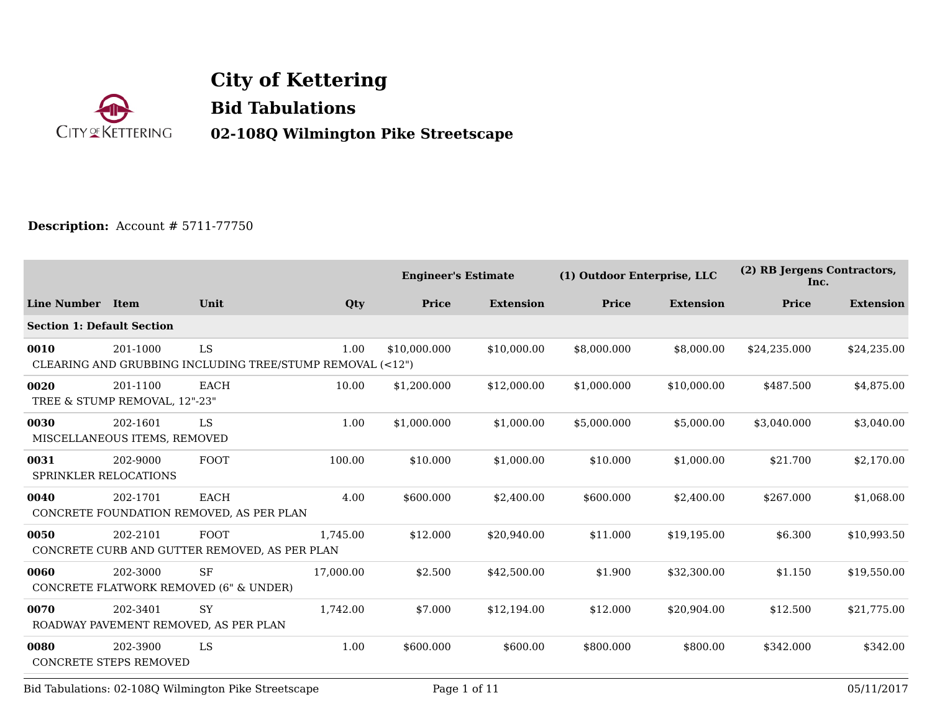

**City of Kettering Bid Tabulations 02-108Q Wilmington Pike Streetscape**

## **Description:** Account # 5711-77750

|                                      |                                           |                                                                 |           | <b>Engineer's Estimate</b> |                  | (1) Outdoor Enterprise, LLC |                  | (2) RB Jergens Contractors,<br>Inc. |                  |
|--------------------------------------|-------------------------------------------|-----------------------------------------------------------------|-----------|----------------------------|------------------|-----------------------------|------------------|-------------------------------------|------------------|
| <b>Line Number</b>                   | <b>Item</b>                               | Unit                                                            | Qty       | Price                      | <b>Extension</b> | Price                       | <b>Extension</b> | Price                               | <b>Extension</b> |
| <b>Section 1: Default Section</b>    |                                           |                                                                 |           |                            |                  |                             |                  |                                     |                  |
| 0010                                 | 201-1000                                  | LS<br>CLEARING AND GRUBBING INCLUDING TREE/STUMP REMOVAL (<12") | 1.00      | \$10,000.000               | \$10,000.00      | \$8,000.000                 | \$8,000.00       | \$24,235.000                        | \$24,235.00      |
| 0020                                 | 201-1100<br>TREE & STUMP REMOVAL, 12"-23" | EACH                                                            | 10.00     | \$1,200.000                | \$12,000.00      | \$1,000.000                 | \$10,000.00      | \$487.500                           | \$4,875.00       |
| 0030                                 | 202-1601<br>MISCELLANEOUS ITEMS, REMOVED  | LS                                                              | 1.00      | \$1,000.000                | \$1,000.00       | \$5,000.000                 | \$5,000.00       | \$3,040.000                         | \$3,040.00       |
| 0031<br><b>SPRINKLER RELOCATIONS</b> | 202-9000                                  | <b>FOOT</b>                                                     | 100.00    | \$10.000                   | \$1,000.00       | \$10.000                    | \$1,000.00       | \$21.700                            | \$2,170.00       |
| 0040                                 | 202-1701                                  | <b>EACH</b><br>CONCRETE FOUNDATION REMOVED, AS PER PLAN         | 4.00      | \$600.000                  | \$2,400.00       | \$600.000                   | \$2,400.00       | \$267.000                           | \$1,068.00       |
| 0050                                 | 202-2101                                  | FOOT<br>CONCRETE CURB AND GUTTER REMOVED, AS PER PLAN           | 1,745.00  | \$12.000                   | \$20,940.00      | \$11.000                    | \$19,195.00      | \$6.300                             | \$10,993.50      |
| 0060                                 | 202-3000                                  | <b>SF</b><br>CONCRETE FLATWORK REMOVED (6" & UNDER)             | 17,000.00 | \$2.500                    | \$42,500.00      | \$1.900                     | \$32,300.00      | \$1.150                             | \$19,550.00      |
| 0070                                 | 202-3401                                  | <b>SY</b><br>ROADWAY PAVEMENT REMOVED, AS PER PLAN              | 1,742.00  | \$7.000                    | \$12,194.00      | \$12.000                    | \$20,904.00      | \$12.500                            | \$21,775.00      |
| 0080                                 | 202-3900<br><b>CONCRETE STEPS REMOVED</b> | LS                                                              | 1.00      | \$600.000                  | \$600.00         | \$800.000                   | \$800.00         | \$342.000                           | \$342.00         |

Bid Tabulations: 02-108Q Wilmington Pike Streetscape Page 1 of 11 05/11/2017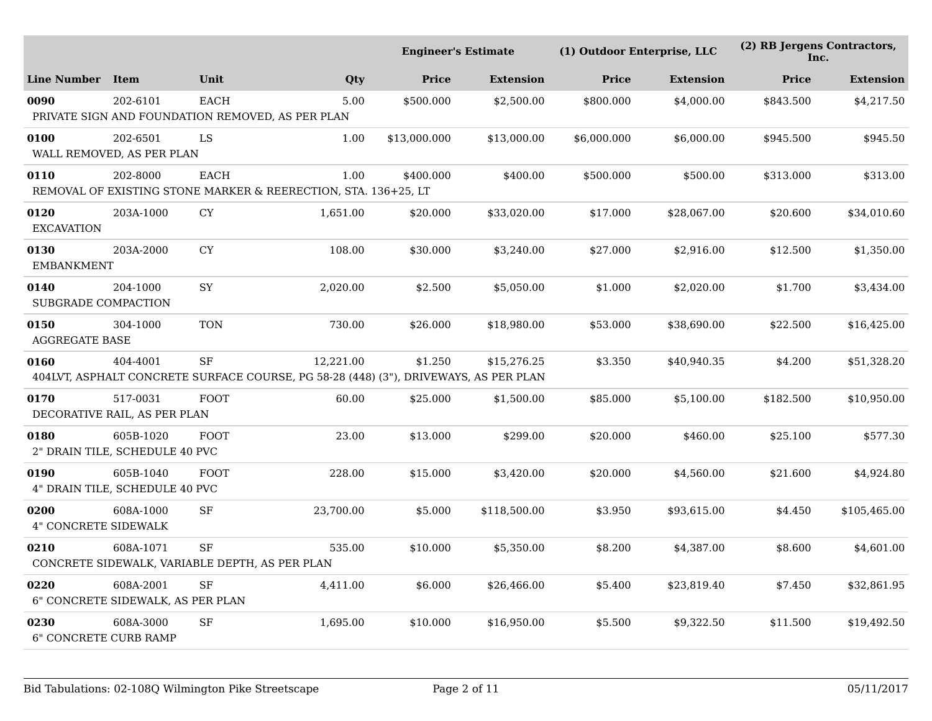|                                      | <b>Engineer's Estimate</b>                     |                                                                                                   |           | (1) Outdoor Enterprise, LLC |                  | (2) RB Jergens Contractors,<br>Inc. |                  |              |                  |
|--------------------------------------|------------------------------------------------|---------------------------------------------------------------------------------------------------|-----------|-----------------------------|------------------|-------------------------------------|------------------|--------------|------------------|
| <b>Line Number</b>                   | Item                                           | Unit                                                                                              | Qty       | <b>Price</b>                | <b>Extension</b> | <b>Price</b>                        | <b>Extension</b> | <b>Price</b> | <b>Extension</b> |
| 0090                                 | 202-6101                                       | <b>EACH</b><br>PRIVATE SIGN AND FOUNDATION REMOVED, AS PER PLAN                                   | 5.00      | \$500.000                   | \$2,500.00       | \$800.000                           | \$4,000.00       | \$843.500    | \$4,217.50       |
| 0100                                 | 202-6501<br>WALL REMOVED, AS PER PLAN          | LS                                                                                                | 1.00      | \$13,000.000                | \$13,000.00      | \$6,000.000                         | \$6,000.00       | \$945.500    | \$945.50         |
| 0110                                 | 202-8000                                       | <b>EACH</b><br>REMOVAL OF EXISTING STONE MARKER & REERECTION, STA. 136+25, LT                     | 1.00      | \$400.000                   | \$400.00         | \$500.000                           | \$500.00         | \$313.000    | \$313.00         |
| 0120<br><b>EXCAVATION</b>            | 203A-1000                                      | ${\rm CY}$                                                                                        | 1,651.00  | \$20.000                    | \$33,020.00      | \$17.000                            | \$28,067.00      | \$20.600     | \$34,010.60      |
| 0130<br><b>EMBANKMENT</b>            | 203A-2000                                      | ${\rm CY}$                                                                                        | 108.00    | \$30.000                    | \$3,240.00       | \$27.000                            | \$2,916.00       | \$12.500     | \$1,350.00       |
| 0140<br><b>SUBGRADE COMPACTION</b>   | 204-1000                                       | SY                                                                                                | 2,020.00  | \$2.500                     | \$5,050.00       | \$1.000                             | \$2,020.00       | \$1.700      | \$3,434.00       |
| 0150<br><b>AGGREGATE BASE</b>        | 304-1000                                       | <b>TON</b>                                                                                        | 730.00    | \$26.000                    | \$18,980.00      | \$53.000                            | \$38.690.00      | \$22.500     | \$16,425.00      |
| 0160                                 | 404-4001                                       | <b>SF</b><br>404LVT, ASPHALT CONCRETE SURFACE COURSE, PG 58-28 (448) (3"), DRIVEWAYS, AS PER PLAN | 12,221.00 | \$1.250                     | \$15,276.25      | \$3.350                             | \$40,940.35      | \$4.200      | \$51,328.20      |
| 0170                                 | 517-0031<br>DECORATIVE RAIL, AS PER PLAN       | <b>FOOT</b>                                                                                       | 60.00     | \$25.000                    | \$1,500.00       | \$85.000                            | \$5,100.00       | \$182.500    | \$10,950.00      |
| 0180                                 | 605B-1020<br>2" DRAIN TILE, SCHEDULE 40 PVC    | <b>FOOT</b>                                                                                       | 23.00     | \$13.000                    | \$299.00         | \$20.000                            | \$460.00         | \$25.100     | \$577.30         |
| 0190                                 | 605B-1040<br>4" DRAIN TILE, SCHEDULE 40 PVC    | <b>FOOT</b>                                                                                       | 228.00    | \$15.000                    | \$3,420.00       | \$20.000                            | \$4,560.00       | \$21.600     | \$4,924.80       |
| 0200<br><b>4" CONCRETE SIDEWALK</b>  | 608A-1000                                      | SF                                                                                                | 23,700.00 | \$5.000                     | \$118,500.00     | \$3.950                             | \$93,615.00      | \$4.450      | \$105,465.00     |
| 0210                                 | 608A-1071                                      | <b>SF</b><br>CONCRETE SIDEWALK, VARIABLE DEPTH, AS PER PLAN                                       | 535.00    | \$10.000                    | \$5,350.00       | \$8.200                             | \$4,387.00       | \$8.600      | \$4,601.00       |
| 0220                                 | 608A-2001<br>6" CONCRETE SIDEWALK, AS PER PLAN | SF                                                                                                | 4,411.00  | \$6.000                     | \$26,466.00      | \$5.400                             | \$23,819.40      | \$7.450      | \$32,861.95      |
| 0230<br><b>6" CONCRETE CURB RAMP</b> | 608A-3000                                      | SF                                                                                                | 1,695.00  | \$10.000                    | \$16,950.00      | \$5.500                             | \$9,322.50       | \$11.500     | \$19,492.50      |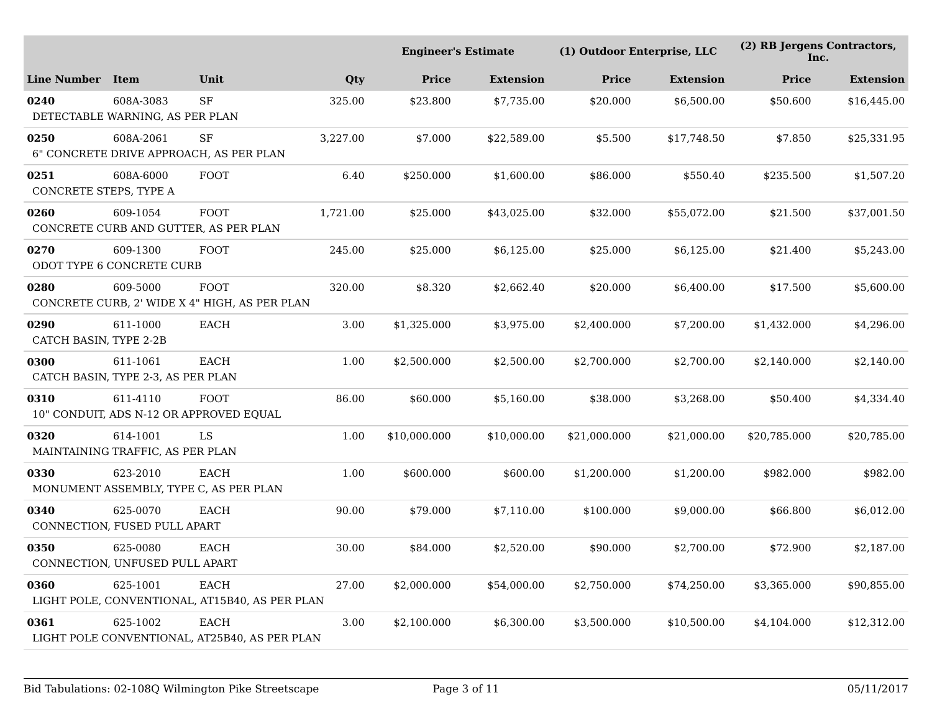|                                |                                                     | <b>Engineer's Estimate</b>                                    |          |              | (1) Outdoor Enterprise, LLC |              | (2) RB Jergens Contractors,<br>Inc. |              |                  |
|--------------------------------|-----------------------------------------------------|---------------------------------------------------------------|----------|--------------|-----------------------------|--------------|-------------------------------------|--------------|------------------|
| <b>Line Number</b>             | Item                                                | Unit                                                          | Qty      | <b>Price</b> | <b>Extension</b>            | <b>Price</b> | <b>Extension</b>                    | <b>Price</b> | <b>Extension</b> |
| 0240                           | 608A-3083<br>DETECTABLE WARNING, AS PER PLAN        | $\rm{SF}$                                                     | 325.00   | \$23.800     | \$7,735.00                  | \$20.000     | \$6,500.00                          | \$50.600     | \$16,445.00      |
| 0250                           | 608A-2061                                           | SF<br>6" CONCRETE DRIVE APPROACH, AS PER PLAN                 | 3,227.00 | \$7.000      | \$22,589.00                 | \$5.500      | \$17,748.50                         | \$7.850      | \$25,331.95      |
| 0251<br>CONCRETE STEPS, TYPE A | 608A-6000                                           | <b>FOOT</b>                                                   | 6.40     | \$250.000    | \$1,600.00                  | \$86.000     | \$550.40                            | \$235.500    | \$1,507.20       |
| 0260                           | 609-1054<br>CONCRETE CURB AND GUTTER, AS PER PLAN   | <b>FOOT</b>                                                   | 1,721.00 | \$25.000     | \$43,025.00                 | \$32.000     | \$55,072.00                         | \$21.500     | \$37,001.50      |
| 0270                           | 609-1300<br>ODOT TYPE 6 CONCRETE CURB               | <b>FOOT</b>                                                   | 245.00   | \$25.000     | \$6,125.00                  | \$25.000     | \$6,125.00                          | \$21.400     | \$5,243.00       |
| 0280                           | 609-5000                                            | <b>FOOT</b><br>CONCRETE CURB, 2' WIDE X 4" HIGH, AS PER PLAN  | 320.00   | \$8.320      | \$2,662.40                  | \$20.000     | \$6,400.00                          | \$17.500     | \$5,600.00       |
| 0290<br>CATCH BASIN, TYPE 2-2B | 611-1000                                            | <b>EACH</b>                                                   | 3.00     | \$1,325.000  | \$3,975.00                  | \$2,400.000  | \$7,200.00                          | \$1,432.000  | \$4,296.00       |
| 0300                           | 611-1061<br>CATCH BASIN, TYPE 2-3, AS PER PLAN      | <b>EACH</b>                                                   | 1.00     | \$2,500.000  | \$2,500.00                  | \$2,700.000  | \$2,700.00                          | \$2,140.000  | \$2,140.00       |
| 0310                           | 611-4110<br>10" CONDUIT, ADS N-12 OR APPROVED EQUAL | <b>FOOT</b>                                                   | 86.00    | \$60.000     | \$5,160.00                  | \$38.000     | \$3,268.00                          | \$50.400     | \$4,334.40       |
| 0320                           | 614-1001<br>MAINTAINING TRAFFIC, AS PER PLAN        | LS                                                            | 1.00     | \$10,000.000 | \$10,000.00                 | \$21,000.000 | \$21,000.00                         | \$20,785.000 | \$20,785.00      |
| 0330                           | 623-2010                                            | <b>EACH</b><br>MONUMENT ASSEMBLY, TYPE C, AS PER PLAN         | 1.00     | \$600.000    | \$600.00                    | \$1,200.000  | \$1,200.00                          | \$982.000    | \$982.00         |
| 0340                           | 625-0070<br>CONNECTION, FUSED PULL APART            | <b>EACH</b>                                                   | 90.00    | \$79.000     | \$7,110.00                  | \$100.000    | \$9,000.00                          | \$66.800     | \$6,012.00       |
| 0350                           | 625-0080<br>CONNECTION, UNFUSED PULL APART          | EACH                                                          | 30.00    | \$84.000     | \$2,520.00                  | \$90.000     | \$2,700.00                          | \$72.900     | \$2,187.00       |
| 0360                           | 625-1001                                            | <b>EACH</b><br>LIGHT POLE, CONVENTIONAL, AT15B40, AS PER PLAN | 27.00    | \$2,000.000  | \$54,000.00                 | \$2,750.000  | \$74,250.00                         | \$3,365.000  | \$90,855.00      |
| 0361                           | 625-1002                                            | EACH<br>LIGHT POLE CONVENTIONAL, AT25B40, AS PER PLAN         | 3.00     | \$2,100.000  | \$6,300.00                  | \$3,500.000  | \$10,500.00                         | \$4,104.000  | \$12,312.00      |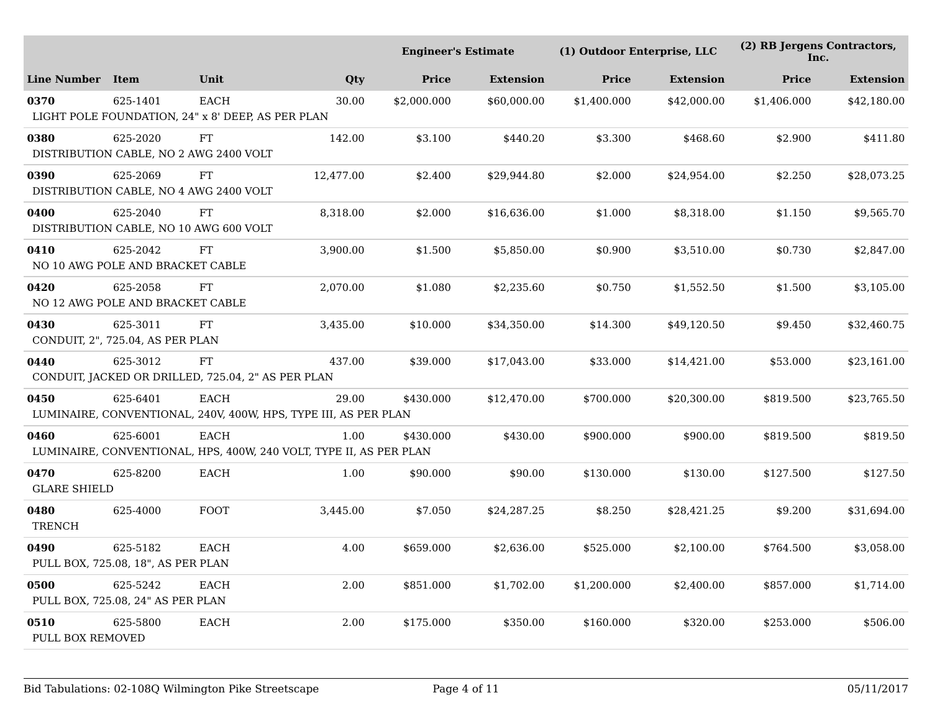|                             |                                                    |                                                                                   |           | <b>Engineer's Estimate</b> |                  | (1) Outdoor Enterprise, LLC |                  | (2) RB Jergens Contractors,<br>Inc. |                  |
|-----------------------------|----------------------------------------------------|-----------------------------------------------------------------------------------|-----------|----------------------------|------------------|-----------------------------|------------------|-------------------------------------|------------------|
| <b>Line Number</b>          | <b>Item</b>                                        | Unit                                                                              | Qty       | Price                      | <b>Extension</b> | <b>Price</b>                | <b>Extension</b> | <b>Price</b>                        | <b>Extension</b> |
| 0370                        | 625-1401                                           | <b>EACH</b><br>LIGHT POLE FOUNDATION, 24" x 8' DEEP, AS PER PLAN                  | 30.00     | \$2,000.000                | \$60,000.00      | \$1,400.000                 | \$42,000.00      | \$1,406.000                         | \$42,180.00      |
| 0380                        | 625-2020<br>DISTRIBUTION CABLE, NO 2 AWG 2400 VOLT | ${\rm FT}$                                                                        | 142.00    | \$3.100                    | \$440.20         | \$3.300                     | \$468.60         | \$2.900                             | \$411.80         |
| 0390                        | 625-2069<br>DISTRIBUTION CABLE, NO 4 AWG 2400 VOLT | FT                                                                                | 12,477.00 | \$2.400                    | \$29,944.80      | \$2.000                     | \$24,954.00      | \$2.250                             | \$28,073.25      |
| 0400                        | 625-2040<br>DISTRIBUTION CABLE, NO 10 AWG 600 VOLT | FT                                                                                | 8,318.00  | \$2.000                    | \$16,636.00      | \$1.000                     | \$8,318.00       | \$1.150                             | \$9,565.70       |
| 0410                        | 625-2042<br>NO 10 AWG POLE AND BRACKET CABLE       | FT                                                                                | 3,900.00  | \$1.500                    | \$5,850.00       | \$0.900                     | \$3,510.00       | \$0.730                             | \$2,847.00       |
| 0420                        | 625-2058<br>NO 12 AWG POLE AND BRACKET CABLE       | FT                                                                                | 2,070.00  | \$1.080                    | \$2,235.60       | \$0.750                     | \$1,552.50       | \$1.500                             | \$3,105.00       |
| 0430                        | 625-3011<br>CONDUIT, 2", 725.04, AS PER PLAN       | FT                                                                                | 3,435.00  | \$10.000                   | \$34,350.00      | \$14.300                    | \$49,120.50      | \$9.450                             | \$32,460.75      |
| 0440                        | 625-3012                                           | FT<br>CONDUIT, JACKED OR DRILLED, 725.04, 2" AS PER PLAN                          | 437.00    | \$39.000                   | \$17,043.00      | \$33.000                    | \$14,421.00      | \$53.000                            | \$23,161.00      |
| 0450                        | 625-6401                                           | EACH<br>LUMINAIRE, CONVENTIONAL, 240V, 400W, HPS, TYPE III, AS PER PLAN           | 29.00     | \$430.000                  | \$12,470.00      | \$700.000                   | \$20,300.00      | \$819.500                           | \$23,765.50      |
| 0460                        | 625-6001                                           | <b>EACH</b><br>LUMINAIRE, CONVENTIONAL, HPS, 400W, 240 VOLT, TYPE II, AS PER PLAN | 1.00      | \$430.000                  | \$430.00         | \$900.000                   | \$900.00         | \$819.500                           | \$819.50         |
| 0470<br><b>GLARE SHIELD</b> | 625-8200                                           | <b>EACH</b>                                                                       | 1.00      | \$90.000                   | \$90.00          | \$130.000                   | \$130.00         | \$127.500                           | \$127.50         |
| 0480<br><b>TRENCH</b>       | 625-4000                                           | FOOT                                                                              | 3,445.00  | \$7.050                    | \$24,287.25      | \$8.250                     | \$28,421.25      | \$9.200                             | \$31,694.00      |
| 0490                        | 625-5182<br>PULL BOX, 725.08, 18", AS PER PLAN     | <b>EACH</b>                                                                       | 4.00      | \$659.000                  | \$2,636.00       | \$525.000                   | \$2,100.00       | \$764.500                           | \$3,058.00       |
| 0500                        | 625-5242<br>PULL BOX, 725.08, 24" AS PER PLAN      | <b>EACH</b>                                                                       | 2.00      | \$851.000                  | \$1,702.00       | \$1,200.000                 | \$2,400.00       | \$857.000                           | \$1,714.00       |
| 0510<br>PULL BOX REMOVED    | 625-5800                                           | EACH                                                                              | 2.00      | \$175.000                  | \$350.00         | \$160.000                   | \$320.00         | \$253.000                           | \$506.00         |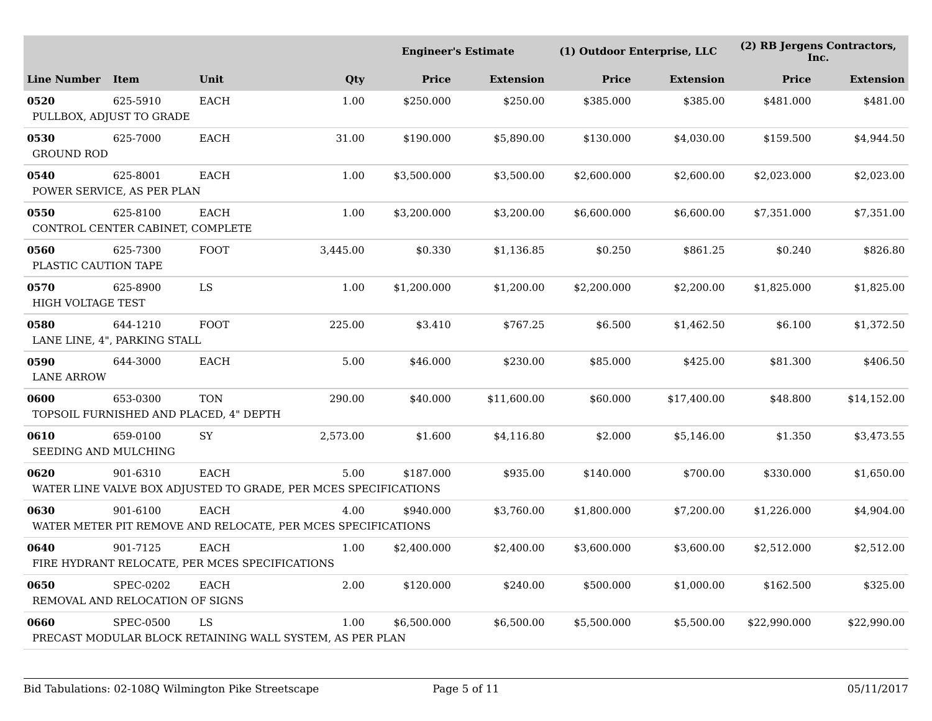|                              | <b>Engineer's Estimate</b>                          |                                                               |                                                                         | (1) Outdoor Enterprise, LLC |                  |              | (2) RB Jergens Contractors,<br>Inc. |              |                  |
|------------------------------|-----------------------------------------------------|---------------------------------------------------------------|-------------------------------------------------------------------------|-----------------------------|------------------|--------------|-------------------------------------|--------------|------------------|
| <b>Line Number</b>           | <b>Item</b>                                         | Unit                                                          | Qty                                                                     | <b>Price</b>                | <b>Extension</b> | <b>Price</b> | <b>Extension</b>                    | <b>Price</b> | <b>Extension</b> |
| 0520                         | 625-5910<br>PULLBOX, ADJUST TO GRADE                | <b>EACH</b>                                                   | 1.00                                                                    | \$250.000                   | \$250.00         | \$385.000    | \$385.00                            | \$481.000    | \$481.00         |
| 0530<br><b>GROUND ROD</b>    | 625-7000                                            | EACH                                                          | 31.00                                                                   | \$190.000                   | \$5,890.00       | \$130.000    | \$4,030.00                          | \$159.500    | \$4,944.50       |
| 0540                         | 625-8001<br>POWER SERVICE, AS PER PLAN              | <b>EACH</b>                                                   | 1.00                                                                    | \$3,500.000                 | \$3,500.00       | \$2,600.000  | \$2,600.00                          | \$2,023.000  | \$2,023.00       |
| 0550                         | 625-8100<br>CONTROL CENTER CABINET, COMPLETE        | EACH                                                          | 1.00                                                                    | \$3,200.000                 | \$3,200.00       | \$6,600.000  | \$6,600.00                          | \$7,351.000  | \$7,351.00       |
| 0560<br>PLASTIC CAUTION TAPE | 625-7300                                            | <b>FOOT</b>                                                   | 3,445.00                                                                | \$0.330                     | \$1,136.85       | \$0.250      | \$861.25                            | \$0.240      | \$826.80         |
| 0570<br>HIGH VOLTAGE TEST    | 625-8900                                            | LS                                                            | 1.00                                                                    | \$1,200.000                 | \$1,200.00       | \$2,200.000  | \$2,200.00                          | \$1,825.000  | \$1,825.00       |
| 0580                         | 644-1210<br>LANE LINE, 4", PARKING STALL            | <b>FOOT</b>                                                   | 225.00                                                                  | \$3.410                     | \$767.25         | \$6.500      | \$1,462.50                          | \$6.100      | \$1,372.50       |
| 0590<br><b>LANE ARROW</b>    | 644-3000                                            | <b>EACH</b>                                                   | 5.00                                                                    | \$46.000                    | \$230.00         | \$85.000     | \$425.00                            | \$81.300     | \$406.50         |
| 0600                         | 653-0300                                            | <b>TON</b><br>TOPSOIL FURNISHED AND PLACED, 4" DEPTH          | 290.00                                                                  | \$40.000                    | \$11,600.00      | \$60.000     | \$17,400.00                         | \$48.800     | \$14,152.00      |
| 0610<br>SEEDING AND MULCHING | 659-0100                                            | SY                                                            | 2,573.00                                                                | \$1.600                     | \$4,116.80       | \$2.000      | \$5,146.00                          | \$1.350      | \$3,473.55       |
| 0620                         | 901-6310                                            | <b>EACH</b>                                                   | 5.00<br>WATER LINE VALVE BOX ADJUSTED TO GRADE, PER MCES SPECIFICATIONS | \$187.000                   | \$935.00         | \$140.000    | \$700.00                            | \$330.000    | \$1,650.00       |
| 0630                         | 901-6100                                            | <b>EACH</b>                                                   | 4.00<br>WATER METER PIT REMOVE AND RELOCATE, PER MCES SPECIFICATIONS    | \$940.000                   | \$3,760.00       | \$1,800.000  | \$7,200.00                          | \$1,226.000  | \$4,904.00       |
| 0640                         | 901-7125                                            | <b>EACH</b><br>FIRE HYDRANT RELOCATE, PER MCES SPECIFICATIONS | 1.00                                                                    | \$2,400.000                 | \$2,400.00       | \$3,600.000  | \$3,600.00                          | \$2,512.000  | \$2,512.00       |
| 0650                         | <b>SPEC-0202</b><br>REMOVAL AND RELOCATION OF SIGNS | <b>EACH</b>                                                   | 2.00                                                                    | \$120.000                   | \$240.00         | \$500.000    | \$1,000.00                          | \$162.500    | \$325.00         |
| 0660                         | <b>SPEC-0500</b>                                    | LS                                                            | 1.00<br>PRECAST MODULAR BLOCK RETAINING WALL SYSTEM, AS PER PLAN        | \$6,500.000                 | \$6,500.00       | \$5,500.000  | \$5,500.00                          | \$22,990.000 | \$22,990.00      |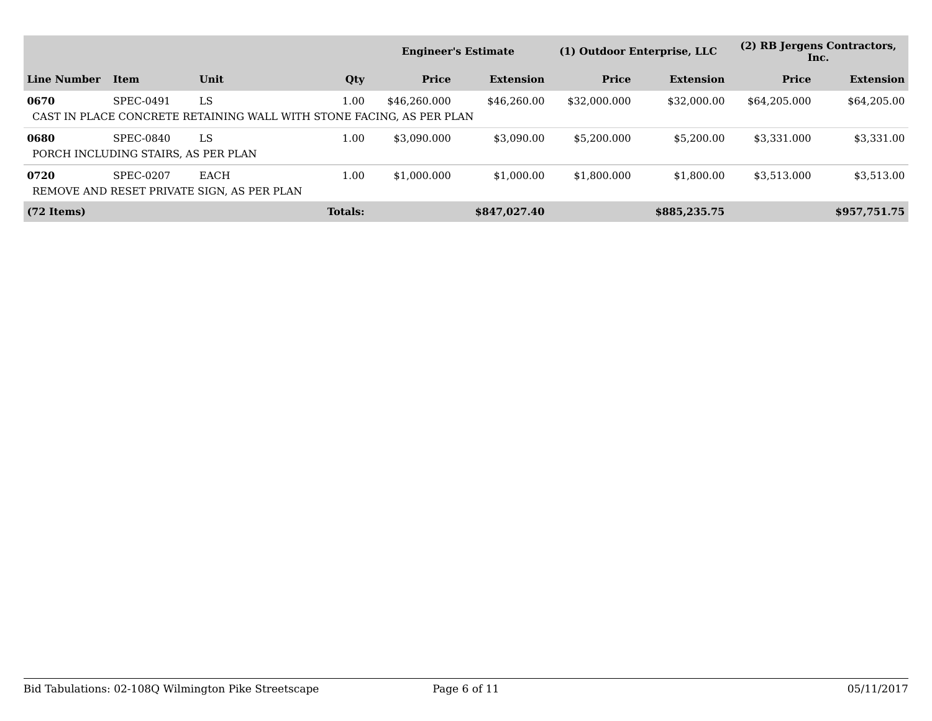|                      |                                                  |                                                                            |                | <b>Engineer's Estimate</b> |                  | (1) Outdoor Enterprise, LLC |                  | (2) RB Jergens Contractors,<br>Inc. |                  |
|----------------------|--------------------------------------------------|----------------------------------------------------------------------------|----------------|----------------------------|------------------|-----------------------------|------------------|-------------------------------------|------------------|
| Line Number          | Item                                             | <b>Unit</b>                                                                | Qty            | Price                      | <b>Extension</b> | <b>Price</b>                | <b>Extension</b> | Price                               | <b>Extension</b> |
| 0670                 | SPEC-0491                                        | LS<br>CAST IN PLACE CONCRETE RETAINING WALL WITH STONE FACING. AS PER PLAN | $1.00\,$       | \$46.260.000               | \$46,260.00      | \$32,000,000                | \$32,000.00      | \$64.205.000                        | \$64,205.00      |
| 0680                 | SPEC-0840<br>PORCH INCLUDING STAIRS, AS PER PLAN | LS                                                                         | 1.00           | \$3.090.000                | \$3,090.00       | \$5,200,000                 | \$5,200,00       | \$3.331.000                         | \$3,331.00       |
| 0720                 | SPEC-0207                                        | EACH<br>REMOVE AND RESET PRIVATE SIGN, AS PER PLAN                         | 1.00           | \$1,000,000                | \$1,000.00       | \$1,800.000                 | \$1.800.00       | \$3.513.000                         | \$3,513.00       |
| $(72 \text{ items})$ |                                                  |                                                                            | <b>Totals:</b> |                            | \$847,027.40     |                             | \$885,235.75     |                                     | \$957,751.75     |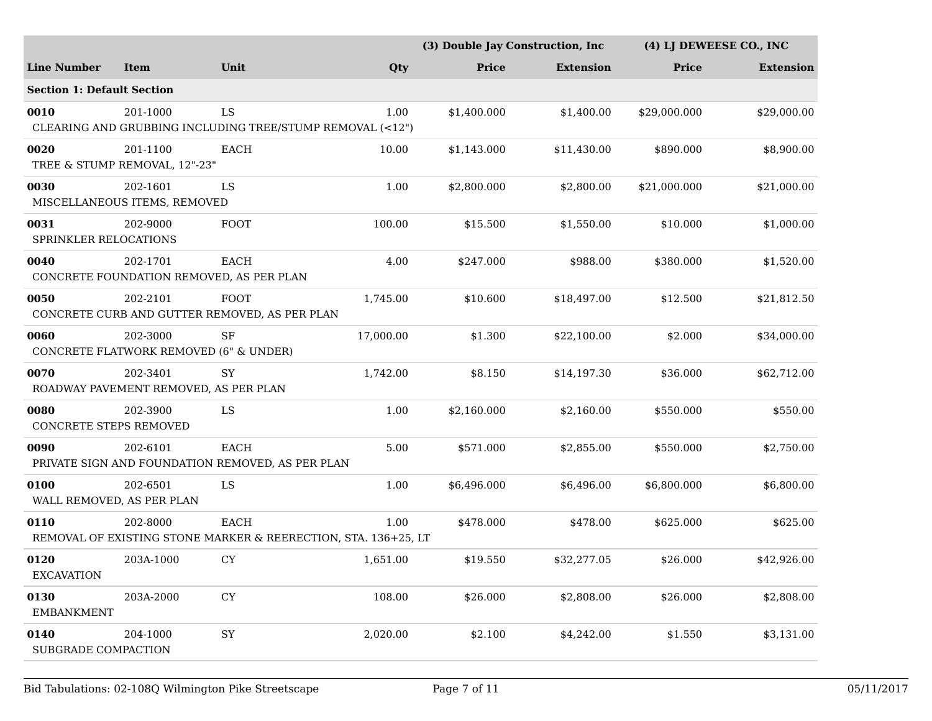|                                   |                                                    |                                                                        |           | (3) Double Jay Construction, Inc |                  | (4) LJ DEWEESE CO., INC |                  |
|-----------------------------------|----------------------------------------------------|------------------------------------------------------------------------|-----------|----------------------------------|------------------|-------------------------|------------------|
| <b>Line Number</b>                | <b>Item</b>                                        | Unit                                                                   | Qty       | Price                            | <b>Extension</b> | Price                   | <b>Extension</b> |
| <b>Section 1: Default Section</b> |                                                    |                                                                        |           |                                  |                  |                         |                  |
| 0010                              | 201-1000                                           | LS<br>CLEARING AND GRUBBING INCLUDING TREE/STUMP REMOVAL (<12")        | 1.00      | \$1,400.000                      | \$1,400.00       | \$29,000.000            | \$29,000.00      |
| 0020                              | 201-1100<br>TREE & STUMP REMOVAL, 12"-23"          | EACH                                                                   | 10.00     | \$1,143.000                      | \$11,430.00      | \$890.000               | \$8,900.00       |
| 0030                              | 202-1601<br>MISCELLANEOUS ITEMS, REMOVED           | LS                                                                     | 1.00      | \$2,800.000                      | \$2,800.00       | \$21,000.000            | \$21,000.00      |
| 0031<br>SPRINKLER RELOCATIONS     | 202-9000                                           | FOOT                                                                   | 100.00    | \$15.500                         | \$1,550.00       | \$10.000                | \$1,000.00       |
| 0040                              | 202-1701                                           | EACH<br>CONCRETE FOUNDATION REMOVED, AS PER PLAN                       | 4.00      | \$247.000                        | \$988.00         | \$380.000               | \$1,520.00       |
| 0050                              | 202-2101                                           | <b>FOOT</b><br>CONCRETE CURB AND GUTTER REMOVED, AS PER PLAN           | 1,745.00  | \$10.600                         | \$18,497.00      | \$12.500                | \$21,812.50      |
| 0060                              | 202-3000<br>CONCRETE FLATWORK REMOVED (6" & UNDER) | SF                                                                     | 17,000.00 | \$1.300                          | \$22,100.00      | \$2.000                 | \$34,000.00      |
| 0070                              | 202-3401<br>ROADWAY PAVEMENT REMOVED, AS PER PLAN  | <b>SY</b>                                                              | 1,742.00  | \$8.150                          | \$14,197.30      | \$36.000                | \$62,712.00      |
| 0080<br>CONCRETE STEPS REMOVED    | 202-3900                                           | LS                                                                     | 1.00      | \$2,160.000                      | \$2,160.00       | \$550.000               | \$550.00         |
| 0090                              | 202-6101                                           | <b>EACH</b><br>PRIVATE SIGN AND FOUNDATION REMOVED, AS PER PLAN        | 5.00      | \$571.000                        | \$2,855.00       | \$550.000               | \$2,750.00       |
| 0100<br>WALL REMOVED, AS PER PLAN | 202-6501                                           | LS                                                                     | 1.00      | \$6,496.000                      | \$6,496.00       | \$6,800.000             | \$6,800.00       |
| 0110                              | 202-8000                                           | EACH<br>REMOVAL OF EXISTING STONE MARKER & REERECTION, STA. 136+25, LT | 1.00      | \$478.000                        | \$478.00         | \$625.000               | \$625.00         |
| 0120<br><b>EXCAVATION</b>         | 203A-1000                                          | ${\rm CY}$                                                             | 1,651.00  | \$19.550                         | \$32,277.05      | \$26.000                | \$42,926.00      |
| 0130<br><b>EMBANKMENT</b>         | 203A-2000                                          | ${\rm CY}$                                                             | 108.00    | \$26.000                         | \$2,808.00       | \$26.000                | \$2,808.00       |
| 0140<br>SUBGRADE COMPACTION       | 204-1000                                           | ${\rm SY}$                                                             | 2,020.00  | \$2.100                          | \$4,242.00       | \$1.550                 | \$3,131.00       |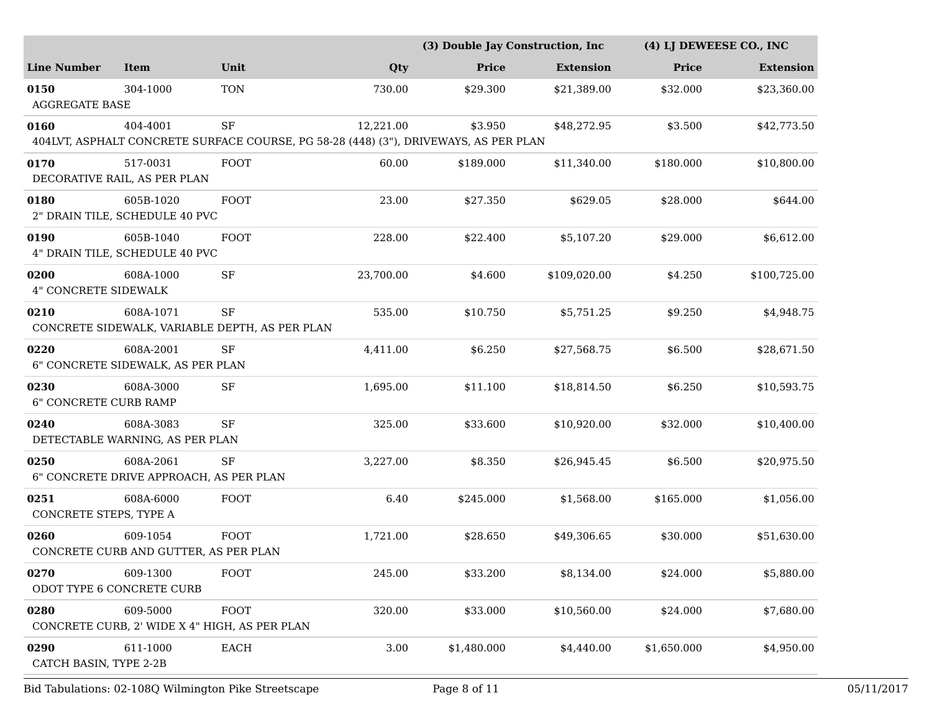|                                      |                                                      |                                                                                            |           | (3) Double Jay Construction, Inc |                  |              | (4) LJ DEWEESE CO., INC |  |
|--------------------------------------|------------------------------------------------------|--------------------------------------------------------------------------------------------|-----------|----------------------------------|------------------|--------------|-------------------------|--|
| <b>Line Number</b>                   | <b>Item</b>                                          | Unit                                                                                       | Qty       | Price                            | <b>Extension</b> | <b>Price</b> | <b>Extension</b>        |  |
| 0150<br><b>AGGREGATE BASE</b>        | 304-1000                                             | <b>TON</b>                                                                                 | 730.00    | \$29.300                         | \$21,389.00      | \$32.000     | \$23,360.00             |  |
| 0160                                 | 404-4001                                             | SF<br>404LVT, ASPHALT CONCRETE SURFACE COURSE, PG 58-28 (448) (3"), DRIVEWAYS, AS PER PLAN | 12,221.00 | \$3.950                          | \$48,272.95      | \$3.500      | \$42,773.50             |  |
| 0170                                 | 517-0031<br>DECORATIVE RAIL, AS PER PLAN             | FOOT                                                                                       | 60.00     | \$189.000                        | \$11,340.00      | \$180.000    | \$10,800.00             |  |
| 0180                                 | 605B-1020<br>2" DRAIN TILE, SCHEDULE 40 PVC          | FOOT                                                                                       | 23.00     | \$27.350                         | \$629.05         | \$28.000     | \$644.00                |  |
| 0190                                 | 605B-1040<br>4" DRAIN TILE, SCHEDULE 40 PVC          | <b>FOOT</b>                                                                                | 228.00    | \$22.400                         | \$5,107.20       | \$29.000     | \$6,612.00              |  |
| 0200<br>4" CONCRETE SIDEWALK         | 608A-1000                                            | $\rm{SF}$                                                                                  | 23,700.00 | \$4.600                          | \$109,020.00     | \$4.250      | \$100,725.00            |  |
| 0210                                 | 608A-1071                                            | <b>SF</b><br>CONCRETE SIDEWALK, VARIABLE DEPTH, AS PER PLAN                                | 535.00    | \$10.750                         | \$5,751.25       | \$9.250      | \$4,948.75              |  |
| 0220                                 | 608A-2001<br>6" CONCRETE SIDEWALK, AS PER PLAN       | $\rm{SF}$                                                                                  | 4,411.00  | \$6.250                          | \$27,568.75      | \$6.500      | \$28,671.50             |  |
| 0230<br><b>6" CONCRETE CURB RAMP</b> | 608A-3000                                            | $\rm{SF}$                                                                                  | 1,695.00  | \$11.100                         | \$18,814.50      | \$6.250      | \$10,593.75             |  |
| 0240                                 | 608A-3083<br>DETECTABLE WARNING, AS PER PLAN         | $\rm{SF}$                                                                                  | 325.00    | \$33.600                         | \$10,920.00      | \$32.000     | \$10,400.00             |  |
| 0250                                 | 608A-2061<br>6" CONCRETE DRIVE APPROACH, AS PER PLAN | <b>SF</b>                                                                                  | 3,227.00  | \$8.350                          | \$26,945.45      | \$6.500      | \$20,975.50             |  |
| 0251<br>CONCRETE STEPS, TYPE A       | 608A-6000                                            | FOOT                                                                                       | 6.40      | \$245.000                        | \$1,568.00       | \$165.000    | \$1,056.00              |  |
| 0260                                 | 609-1054<br>CONCRETE CURB AND GUTTER, AS PER PLAN    | <b>FOOT</b>                                                                                | 1,721.00  | \$28.650                         | \$49,306.65      | \$30.000     | \$51,630.00             |  |
| 0270                                 | 609-1300<br>ODOT TYPE 6 CONCRETE CURB                | <b>FOOT</b>                                                                                | 245.00    | \$33.200                         | \$8,134.00       | \$24.000     | \$5,880.00              |  |
| 0280                                 | 609-5000                                             | FOOT<br>CONCRETE CURB, 2' WIDE X 4" HIGH, AS PER PLAN                                      | 320.00    | \$33.000                         | \$10,560.00      | \$24.000     | \$7,680.00              |  |
| 0290<br>CATCH BASIN, TYPE 2-2B       | 611-1000                                             | EACH                                                                                       | 3.00      | \$1,480.000                      | \$4,440.00       | \$1,650.000  | \$4,950.00              |  |

Bid Tabulations: 02-108Q Wilmington Pike Streetscape Page 8 of 11 05/11/2017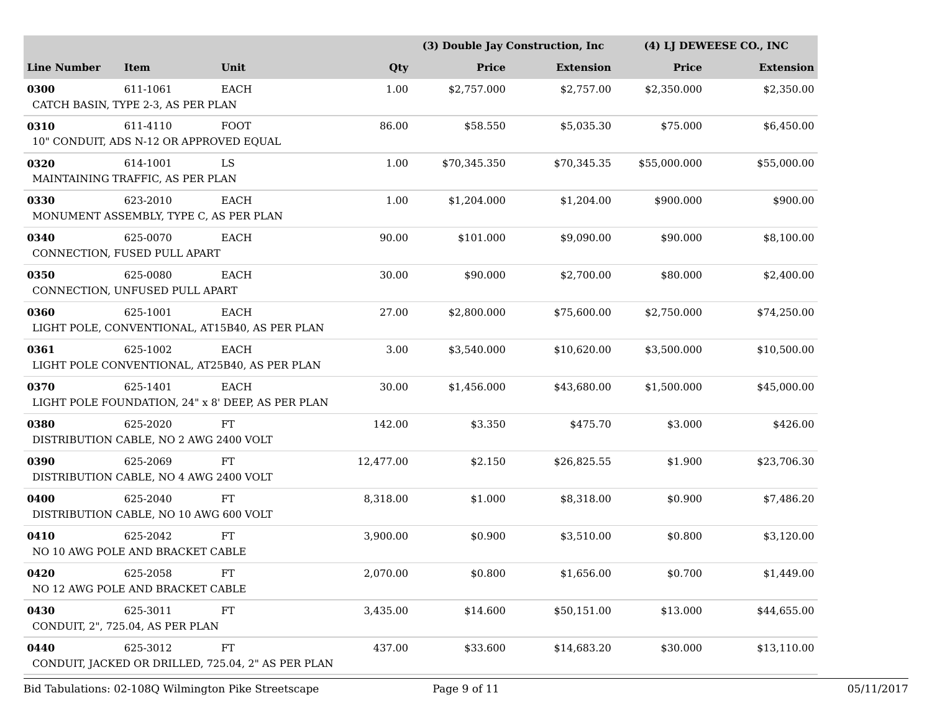|                                            |                                              |                                                                  |           | (3) Double Jay Construction, Inc |                  | (4) LJ DEWEESE CO., INC |                  |  |
|--------------------------------------------|----------------------------------------------|------------------------------------------------------------------|-----------|----------------------------------|------------------|-------------------------|------------------|--|
| <b>Line Number</b>                         | <b>Item</b>                                  | Unit                                                             | Qty       | <b>Price</b>                     | <b>Extension</b> | <b>Price</b>            | <b>Extension</b> |  |
| 0300<br>CATCH BASIN, TYPE 2-3, AS PER PLAN | 611-1061                                     | EACH                                                             | 1.00      | \$2,757.000                      | \$2,757.00       | \$2,350.000             | \$2,350.00       |  |
| 0310                                       | 611-4110                                     | <b>FOOT</b><br>10" CONDUIT, ADS N-12 OR APPROVED EQUAL           | 86.00     | \$58.550                         | \$5,035.30       | \$75.000                | \$6,450.00       |  |
| 0320<br>MAINTAINING TRAFFIC, AS PER PLAN   | 614-1001                                     | LS                                                               | 1.00      | \$70,345.350                     | \$70,345.35      | \$55,000.000            | \$55,000.00      |  |
| 0330                                       | 623-2010                                     | EACH<br>MONUMENT ASSEMBLY, TYPE C, AS PER PLAN                   | 1.00      | \$1,204.000                      | \$1,204.00       | \$900.000               | \$900.00         |  |
| 0340                                       | 625-0070<br>CONNECTION, FUSED PULL APART     | EACH                                                             | 90.00     | \$101.000                        | \$9,090.00       | \$90.000                | \$8,100.00       |  |
| 0350<br>CONNECTION, UNFUSED PULL APART     | 625-0080                                     | EACH                                                             | 30.00     | \$90.000                         | \$2,700.00       | \$80.000                | \$2,400.00       |  |
| 0360                                       | 625-1001                                     | EACH<br>LIGHT POLE, CONVENTIONAL, AT15B40, AS PER PLAN           | 27.00     | \$2,800.000                      | \$75,600.00      | \$2,750.000             | \$74,250.00      |  |
| 0361                                       | 625-1002                                     | <b>EACH</b><br>LIGHT POLE CONVENTIONAL, AT25B40, AS PER PLAN     | 3.00      | \$3,540.000                      | \$10,620.00      | \$3.500.000             | \$10,500.00      |  |
| 0370                                       | 625-1401                                     | <b>EACH</b><br>LIGHT POLE FOUNDATION, 24" x 8' DEEP, AS PER PLAN | 30.00     | \$1,456.000                      | \$43,680.00      | \$1,500.000             | \$45,000.00      |  |
| 0380                                       | 625-2020                                     | FT<br>DISTRIBUTION CABLE, NO 2 AWG 2400 VOLT                     | 142.00    | \$3.350                          | \$475.70         | \$3.000                 | \$426.00         |  |
| 0390                                       | 625-2069                                     | FT<br>DISTRIBUTION CABLE, NO 4 AWG 2400 VOLT                     | 12,477.00 | \$2.150                          | \$26,825.55      | \$1.900                 | \$23,706.30      |  |
| 0400                                       | 625-2040                                     | FT<br>DISTRIBUTION CABLE, NO 10 AWG 600 VOLT                     | 8,318.00  | \$1.000                          | \$8,318.00       | \$0.900                 | \$7,486.20       |  |
| 0410                                       | 625-2042<br>NO 10 AWG POLE AND BRACKET CABLE | FT                                                               | 3,900.00  | \$0.900                          | \$3,510.00       | \$0.800                 | \$3,120.00       |  |
| 0420                                       | 625-2058<br>NO 12 AWG POLE AND BRACKET CABLE | <b>FT</b>                                                        | 2,070.00  | \$0.800                          | \$1,656.00       | \$0.700                 | \$1,449.00       |  |
| 0430                                       | 625-3011<br>CONDUIT, 2", 725.04, AS PER PLAN | FT                                                               | 3,435.00  | \$14.600                         | \$50,151.00      | \$13.000                | \$44,655.00      |  |
| 0440                                       | 625-3012                                     | FT<br>CONDUIT, JACKED OR DRILLED, 725.04, 2" AS PER PLAN         | 437.00    | \$33.600                         | \$14,683.20      | \$30.000                | \$13,110.00      |  |
|                                            |                                              | Bid Tabulations: 02-108Q Wilmington Pike Streetscape             |           | Page 9 of 11                     |                  |                         |                  |  |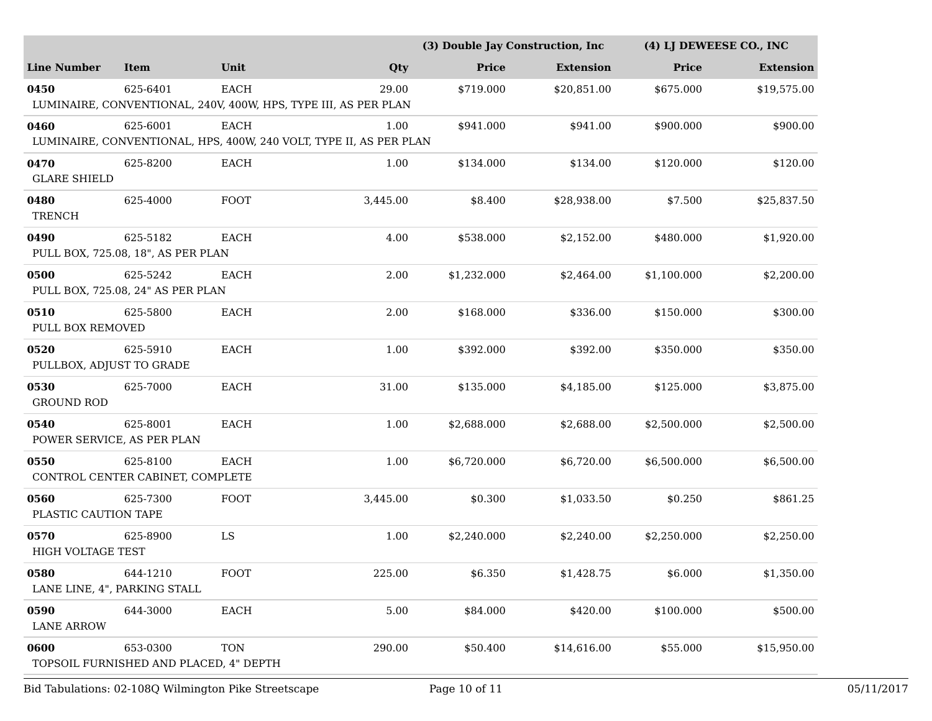|                                  |                                                    |             |                                                                            | (3) Double Jay Construction, Inc |                  | (4) LI DEWEESE CO., INC |                  |
|----------------------------------|----------------------------------------------------|-------------|----------------------------------------------------------------------------|----------------------------------|------------------|-------------------------|------------------|
| <b>Line Number</b>               | <b>Item</b>                                        | Unit        | Qty                                                                        | Price                            | <b>Extension</b> | Price                   | <b>Extension</b> |
| 0450                             | 625-6401                                           | <b>EACH</b> | 29.00<br>LUMINAIRE, CONVENTIONAL, 240V, 400W, HPS, TYPE III, AS PER PLAN   | \$719.000                        | \$20,851.00      | \$675.000               | \$19,575.00      |
| 0460                             | 625-6001                                           | EACH        | 1.00<br>LUMINAIRE, CONVENTIONAL, HPS, 400W, 240 VOLT, TYPE II, AS PER PLAN | \$941.000                        | \$941.00         | \$900.000               | \$900.00         |
| 0470<br><b>GLARE SHIELD</b>      | 625-8200                                           | EACH        | 1.00                                                                       | \$134.000                        | \$134.00         | \$120.000               | \$120.00         |
| 0480<br><b>TRENCH</b>            | 625-4000                                           | FOOT        | 3,445.00                                                                   | \$8.400                          | \$28,938.00      | \$7.500                 | \$25,837.50      |
| 0490                             | 625-5182<br>PULL BOX, 725.08, 18", AS PER PLAN     | EACH        | 4.00                                                                       | \$538.000                        | \$2,152.00       | \$480.000               | \$1,920.00       |
| 0500                             | 625-5242<br>PULL BOX, 725.08, 24" AS PER PLAN      | <b>EACH</b> | 2.00                                                                       | \$1,232.000                      | \$2,464.00       | \$1,100.000             | \$2,200.00       |
| 0510<br>PULL BOX REMOVED         | 625-5800                                           | <b>EACH</b> | 2.00                                                                       | \$168.000                        | \$336.00         | \$150.000               | \$300.00         |
| 0520<br>PULLBOX, ADJUST TO GRADE | 625-5910                                           | EACH        | 1.00                                                                       | \$392.000                        | \$392.00         | \$350.000               | \$350.00         |
| 0530<br><b>GROUND ROD</b>        | 625-7000                                           | EACH        | 31.00                                                                      | \$135.000                        | \$4,185.00       | \$125.000               | \$3,875.00       |
| 0540                             | 625-8001<br>POWER SERVICE, AS PER PLAN             | <b>EACH</b> | 1.00                                                                       | \$2,688.000                      | \$2,688.00       | \$2,500.000             | \$2,500.00       |
| 0550                             | 625-8100<br>CONTROL CENTER CABINET, COMPLETE       | EACH        | 1.00                                                                       | \$6,720.000                      | \$6,720.00       | \$6,500.000             | \$6,500.00       |
| 0560<br>PLASTIC CAUTION TAPE     | 625-7300                                           | FOOT        | 3,445.00                                                                   | \$0.300                          | \$1,033.50       | \$0.250                 | \$861.25         |
| 0570<br><b>HIGH VOLTAGE TEST</b> | 625-8900                                           | LS          | 1.00                                                                       | \$2,240.000                      | \$2,240.00       | \$2,250.000             | \$2,250.00       |
| 0580                             | 644-1210<br>LANE LINE, 4", PARKING STALL           | FOOT        | 225.00                                                                     | \$6.350                          | \$1,428.75       | \$6.000                 | \$1,350.00       |
| 0590<br><b>LANE ARROW</b>        | 644-3000                                           | EACH        | 5.00                                                                       | \$84.000                         | \$420.00         | \$100.000               | \$500.00         |
| 0600                             | 653-0300<br>TOPSOIL FURNISHED AND PLACED, 4" DEPTH | <b>TON</b>  | 290.00                                                                     | \$50.400                         | \$14,616.00      | \$55.000                | \$15,950.00      |

Bid Tabulations: 02-108Q Wilmington Pike Streetscape Page 10 of 11 05/11/2017